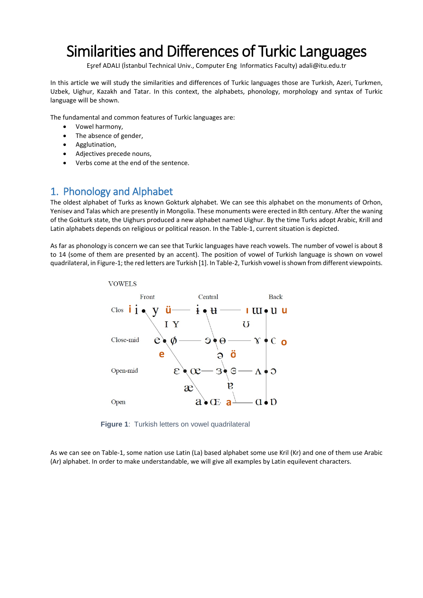# Similarities and Differences of Turkic Languages

Eşref ADALI (İstanbul Technical Univ., Computer Eng Informatics Faculty) adali@itu.edu.tr

In this article we will study the similarities and differences of Turkic languages those are Turkish, Azeri, Turkmen, Uzbek, Uighur, Kazakh and Tatar. In this context, the alphabets, phonology, morphology and syntax of Turkic language will be shown.

The fundamental and common features of Turkic languages are:

- Vowel harmony,
- The absence of gender,
- Agglutination,
- Adjectives precede nouns,
- Verbs come at the end of the sentence.

## 1. Phonology and Alphabet

The oldest alphabet of Turks as known Gokturk alphabet. We can see this alphabet on the monuments of Orhon, Yenisev and Talas which are presently in Mongolia. These monuments were erected in 8th century. After the waning of the Gokturk state, the Uighurs produced a new alphabet named Uighur. By the time Turks adopt Arabic, Krill and Latin alphabets depends on religious or political reason. In the Table-1, current situation is depicted.

As far as phonology is concern we can see that Turkic languages have reach vowels. The number of vowel is about 8 to 14 (some of them are presented by an accent). The position of vowel of Turkish language is shown on vowel quadrilateral, in Figure-1; the red letters are Turkish [1]. In Table-2, Turkish vowel is shown from different viewpoints.



**Figure 1**: Turkish letters on vowel quadrilateral

As we can see on Table-1, some nation use Latin (La) based alphabet some use Kril (Kr) and one of them use Arabic (Ar) alphabet. In order to make understandable, we will give all examples by Latin equilevent characters.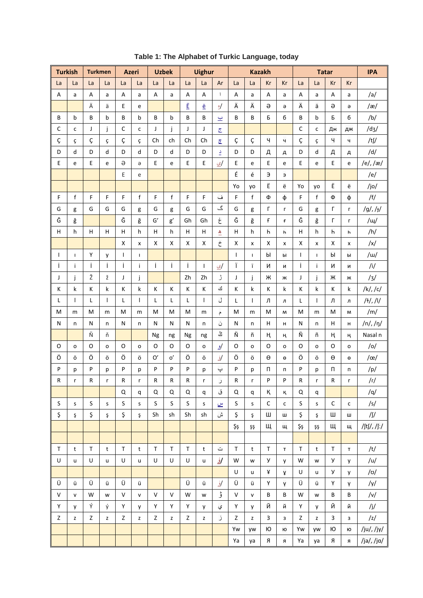| <b>Turkish</b> |                     | <b>Turkmen</b> |                                                                                       |             | <b>Azeri</b>   |               | <b>Uzbek</b>                                                                          |              | <b>Uighur</b>                                                                                                     |                       |              |               | <b>Kazakh</b> |             |           |              | <b>Tatar</b> |                       | <b>IPA</b>              |
|----------------|---------------------|----------------|---------------------------------------------------------------------------------------|-------------|----------------|---------------|---------------------------------------------------------------------------------------|--------------|-------------------------------------------------------------------------------------------------------------------|-----------------------|--------------|---------------|---------------|-------------|-----------|--------------|--------------|-----------------------|-------------------------|
| La             | La                  | La             | La                                                                                    | La          | La             | La            | La                                                                                    | La           | La                                                                                                                | Ar                    | La           | La            | Kr            | Kr          | La        | La           | Kr           | Kr                    |                         |
| A              | a                   | A              | a                                                                                     | A           | a              | А             | a                                                                                     | A            | A                                                                                                                 | $\sqrt{2}$            | A            | a             | A             | a           | A         | a            | A            | a                     | /a/                     |
|                |                     | Ä              | ä                                                                                     | E           | e              |               |                                                                                       | Ë            | ë                                                                                                                 | ৶                     | Ä            | Ä             | $\ominus$     | э           | Ä         | ä            | $\ominus$    | э                     | /æ/                     |
| В              | b                   | B              | b                                                                                     | B           | b              | B             | b                                                                                     | B            | В                                                                                                                 | ب                     | B            | B             | Б             | б           | B         | b            | Б            | б                     | /b/                     |
| C              | $\mathsf{C}$        | J              | j                                                                                     | $\mathsf C$ | $\mathsf{C}$   | J             | j                                                                                     | J            | J                                                                                                                 | $\overline{C}$        |              |               |               |             | C         | $\mathsf{C}$ | Дж           | ДЖ                    | /dz/                    |
| Ç              | Ç                   | Ç              | ç                                                                                     | Ç           | Ç              | Ch            | ch                                                                                    | Ch           | Ch                                                                                                                | $\overline{a}$        | Ç            | Ç             | Ч             | ч           | Ç         | Ç            | Ч            | ч                     | /tʃ/                    |
| D              | d                   | D              | d                                                                                     | D           | d              | D             | $\sf d$                                                                               | D            | D                                                                                                                 | $\mathsf{P}$          | D            | D             | Д             | д           | D         | d            | Д            | д                     | /d/                     |
| E              | e                   | E              | e                                                                                     | $\ominus$   | $\Theta$       | E             | e                                                                                     | Е            | Е                                                                                                                 | ي                     | E            | e             | E             | e           | E         | e            | $\mathsf E$  | e                     | /e/,/æ/                 |
|                |                     |                |                                                                                       | Е           | е              |               |                                                                                       |              |                                                                                                                   |                       | É            | é             | Э             | Э           |           |              |              |                       | /e/                     |
|                |                     |                |                                                                                       |             |                |               |                                                                                       |              |                                                                                                                   |                       | Yo           | yo            | Ë             | ë           | Yo        | yo           | Ë            | ë                     | /jo/                    |
| F              | $\mathsf{f}$        | F              | F                                                                                     | F           | $\mathsf{f}$   | F             | $\mathsf f$                                                                           | F            | F                                                                                                                 | ف                     | F            | $\mathsf f$   | Φ             | ф           | F         | $\mathsf f$  | Ф            | φ                     | /f/                     |
| G              | g                   | G              | G                                                                                     | G           | g              | G             | g                                                                                     | G            | G                                                                                                                 | گ                     | G            | g             | Г             | г           | G         | g            | $\Gamma$     | Г                     | $/g/$ , / $f/$          |
| Ğ              | ğ                   |                |                                                                                       | Ğ           | ğ              | $\mathsf{G}'$ | $\mathsf{g}'$                                                                         | Gh           | Gh                                                                                                                | غ                     | Ğ            | ğ             | f             | f           | Ğ         | ğ            | Г            | Г                     | $/ \psi /$              |
| Н              | h                   | H              | H                                                                                     | H           | h              | $\sf H$       | h                                                                                     | H            | Н                                                                                                                 | $\triangle$           | H            | h             | $\mathsf{h}$  | h           | H         | h            | $\mathsf{h}$ | h                     | /h/                     |
|                |                     |                |                                                                                       | X           | x              | X             | X                                                                                     | $\mathsf X$  | Χ                                                                                                                 | خ                     | X            | x             | X             | x           | X         | x            | X            | x                     | $\sqrt{x}$              |
| ı              | $\mathbf{I}$        | Υ              | у                                                                                     | I           | $\mathbf{I}$   |               |                                                                                       |              |                                                                                                                   |                       | $\mathbf{I}$ | $\mathbf{I}$  | Ы             | ы           | T         | $\mathsf I$  | Ы            | ы                     | $\mu$                   |
| Ť              | j.                  | İ              | İ                                                                                     | İ           | i              | İ             | Ť                                                                                     | İ            | $\mathbf{I}$                                                                                                      | ی                     | Ï            | ï             | N             | и           | İ         | Ť            | И            | И                     | /i/                     |
| J              | j                   | Ž              | ž                                                                                     | J           | j              |               |                                                                                       | Zh           | Zh                                                                                                                | ڑ                     | J            | j             | Ж             | ж           | J         | j            | Ж            | ж                     | /3/                     |
| K              | k                   | К              | k                                                                                     | K           | k              | К             | К                                                                                     | К            | Κ                                                                                                                 | ك                     | Κ            | k             | К             | k           | К         | k            | К            | k                     | $/k/$ , /c/             |
| L              | $\overline{1}$      | Г              | T                                                                                     | Г           | $\overline{1}$ | Г             | L                                                                                     | Г            | $\mathbf{I}$                                                                                                      | ل                     | Г            | $\mathbf{I}$  | Л             | л           | L         | $\mathsf{I}$ | Л            | л                     | $/$ <sup>+</sup> /, /l/ |
| M              | m                   | M              | m                                                                                     | M           | m              | M             | M                                                                                     | M            | m                                                                                                                 | م                     | м            | m             | M             | M           | M         | m            | M            | M                     | /m/                     |
| N              | n                   | N              | n                                                                                     | N           | n              | N             | N                                                                                     | $\mathsf{N}$ | n                                                                                                                 | ن                     | N            | n             | Н             | н           | N         | n            | Н            | н                     | $/n/$ , $/n/$           |
|                |                     | Ň              | ň                                                                                     |             |                | Ng            | ng                                                                                    | Ng           | ng                                                                                                                | أڭ                    | Ñ            | ñ             | ң             | ң           | Ñ         | ñ            | ң            | ң                     | Nasal n                 |
| $\mathsf O$    | $\mathsf{o}\xspace$ | O              | $\mathbf{o}$                                                                          | O           | o              | O             | O                                                                                     | $\circ$      | o                                                                                                                 | /و                    | O            | o             | O             | o           | O         | o            | O            | o                     | /o/                     |
| Ö              | ö                   | Ö              | ö                                                                                     | Ö           | ö              | $\mathrm{O}'$ | o'                                                                                    | Ö            | ö                                                                                                                 | /ۆ                    | Ö            | Ö             | θ             | θ           | Ö         | ö            | $\Theta$     | $\boldsymbol{\Theta}$ | $/$ œ $/$               |
| P              | р                   | P              | р                                                                                     | P           | p              | P             | P                                                                                     | P            | р                                                                                                                 | پ                     | P            | р             | П             | п           | P         | р            | П            | п                     | /p/                     |
| ${\sf R}$      | r                   | ${\sf R}$      | r                                                                                     | R           | $\mathsf{r}$   | ${\sf R}$     | ${\sf R}$                                                                             | ${\sf R}$    | r                                                                                                                 | ر                     | ${\sf R}$    | $\mathsf{r}$  | P             | $\sf P$     | ${\sf R}$ | $\mathsf{r}$ | ${\sf R}$    | r                     | /r/                     |
|                |                     |                |                                                                                       | Q           | q              | Q             | Q                                                                                     | Q            | q                                                                                                                 | ق                     | Q            | $\mathsf{q}$  | K,            | K,          | Q         | q            |              |                       | /q/                     |
| $\sf S$        | S                   | $\sf S$        | S                                                                                     | $\sf S$     | s              | $\mathsf S$   | S                                                                                     | S            | s                                                                                                                 | $\underline{\omega}$  | S            | ${\sf S}$     | $\mathsf C$   | c           | S         | s            | $\mathsf C$  | $\mathsf{C}$          | /s/                     |
| Ş              | Ş                   | Ş              | Ş                                                                                     | Ş           | ş              | Sh            | sh                                                                                    | Sh           | sh                                                                                                                | ش                     | Ş            | Ş             | Ш             | ш           | Ş         | ş            | Ш            | Ш                     | /∬                      |
|                |                     |                |                                                                                       |             |                |               |                                                                                       |              |                                                                                                                   |                       | Şş           | ŞŞ            | Щ             | щ           | Şş        | ŞŞ           | Щ            | щ                     | /ʃtʃ/, /ʃː/             |
|                |                     |                |                                                                                       |             |                |               |                                                                                       |              |                                                                                                                   |                       |              |               |               |             |           |              |              |                       |                         |
| $\top$         | t                   | $\mathsf T$    | $\mathsf{t}$                                                                          | $\mathsf T$ | $\mathbf t$    | $\mathsf T$   | $\top$                                                                                | $\mathsf T$  | $\mathsf{t}$                                                                                                      | $\tilde{\phantom{a}}$ | $\mathsf T$  | $\mathbf t$   | $\mathsf T$   | $\mathsf T$ | $\top$    | t            | $\mathsf T$  | $\mathsf T$           | /t/                     |
| $\sf U$        | u                   | U              | u                                                                                     | U           | u              | U             | U                                                                                     | $\sf U$      | u                                                                                                                 | <u> /ؤ</u>            | W            | ${\mathsf W}$ | У             | y           | W         | W            | У            | y                     | /u/                     |
|                |                     |                |                                                                                       |             |                |               |                                                                                       |              |                                                                                                                   |                       | U            | u             | ¥             | ¥           | U         | u            | У            | y                     | /ʊ/                     |
| Ü              | ü                   | Ü              | ü                                                                                     | Ü           | ü              |               |                                                                                       | Ü            | ü                                                                                                                 | کُلُ                  | Ü            | ü             | Υ             | γ           | Ü         | ü            | Y            | γ                     | /y/                     |
| $\mathsf{V}$   | $\mathsf{v}$        | W              | W                                                                                     | ${\sf V}$   | ${\sf v}$      | ${\sf V}$     | $\mathsf{V}$                                                                          | W            | W                                                                                                                 | ڨ                     | V            | ${\sf v}$     | B             | B           | W         | W            | B            | B                     | /v/                     |
| Y              | y                   | Ý              | ý                                                                                     | Y           | y              | Y             | Y                                                                                     | Y            | y                                                                                                                 | ي                     | Y            | y             | Й             | й           | Y         | y            | Й            | й                     | /j/                     |
| Z              | Z                   | Z              | $\mathsf{Z}% _{T}=\mathsf{Z}_{T}\!\left( a,b\right) ,\ \mathsf{Z}_{T}=\mathsf{Z}_{T}$ | Z           | Z              | $\mathsf Z$   | $\mathsf{Z}% _{T}=\mathsf{Z}_{T}\!\left( a,b\right) ,\ \mathsf{Z}_{T}=\mathsf{Z}_{T}$ | Z            | $\mathsf{Z}% _{M_{1},M_{2}}^{\alpha,\beta}(\mathbb{R})\subset\mathsf{Z}_{M_{1},M_{2}}^{\alpha,\beta}(\mathbb{R})$ | ز                     | Z            | $\mathsf Z$   | 3             | 3           | Z         | z            | 3            | 3                     | $\frac{1}{2}$           |
|                |                     |                |                                                                                       |             |                |               |                                                                                       |              |                                                                                                                   |                       | Yw           | yw            | Ю             | ю           | Yw        | yw           | Ю            | ю                     | /ju/,/jy/               |
|                |                     |                |                                                                                       |             |                |               |                                                                                       |              |                                                                                                                   |                       | Ya           | ya            | Я             | Я           | Ya        | ya           | Я            | я                     | /ja/, /jɑ/              |

Table 1: The Alphabet of Turkic Language, today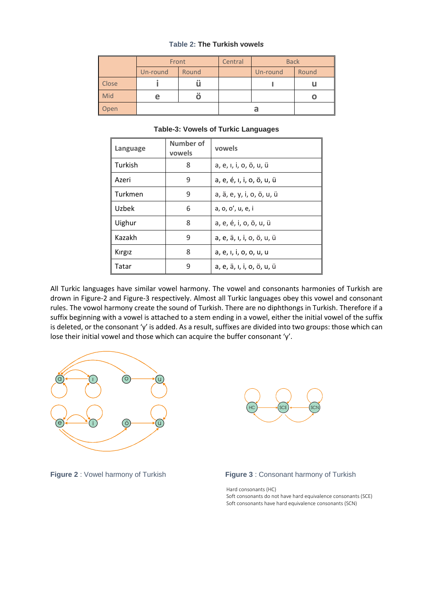#### **Table 2: The Turkish vowel***s*

|       | Front    |           | Central | <b>Back</b> |       |
|-------|----------|-----------|---------|-------------|-------|
|       | Un-round | Round     |         | Un-round    | Round |
| Close |          | $\bullet$ |         |             |       |
| Mid   |          | 00        |         |             | O     |
| Open  |          |           |         |             |       |

#### **Table-3: Vowels of Turkic Languages**

| Language | Number of<br>vowels | vowels                    |
|----------|---------------------|---------------------------|
| Turkish  | 8                   | a, e, ı, i, o, ö, u, ü    |
| Azeri    | 9                   | a, e, é, i, i, o, ö, u, ü |
| Turkmen  | 9                   | a, ä, e, y, i, o, ö, u, ü |
| Uzbek    | 6                   | a, o, o', u, e, i         |
| Uighur   | 8                   | a, e, é, i, o, ö, u, ü    |
| Kazakh   | 9                   | a, e, ä, ı, i, o, ö, u, ü |
| Kırgız   | 8                   | a, e, i, i, o, o, u, u    |
| Tatar    | q                   | a, e, ä, ı, i, o, ö, u, ü |

All Turkic languages have similar vowel harmony. The vowel and consonants harmonies of Turkish are drown in Figure-2 and Figure-3 respectively. Almost all Turkic languages obey this vowel and consonant rules. The vowol harmony create the sound of Turkish. There are no [diphthongs](https://en.wikipedia.org/wiki/Diphthongs) in Turkish. Therefore if a suffix beginning with a vowel is attached to a stem ending in a vowel, either the initial vowel of the suffix is deleted, or the consonant 'y' is added. As a result, suffixes are divided into two groups: those which can lose their initial vowel and those which can acquire the buffer consonant 'y'.







Hard consonants (HC) Soft consonants do not have hard equivalence consonants (SCE) Soft consonants have hard equivalence consonants (SCN)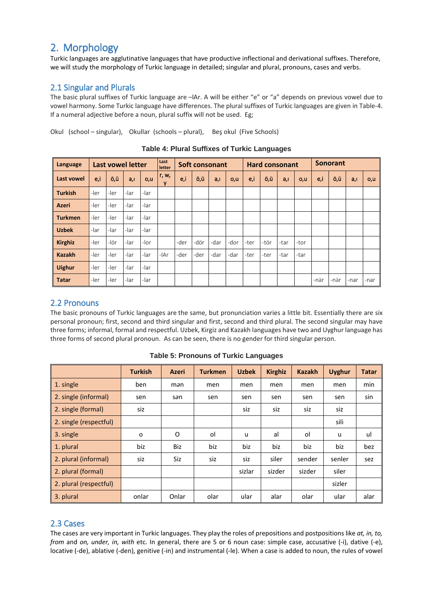# 2. Morphology

Turkic languages are agglutinative languages that have productive inflectional and derivational suffixes. Therefore, we will study the morphology of Turkic language in detailed; singular and plural, pronouns, cases and verbs.

## 2.1 Singular and Plurals

The basic plural suffixes of Turkic language are –lAr. A will be either "e" or "a" depends on previous vowel due to vowel harmony. Some Turkic language have differences. The plural suffixes of Turkic languages are given in Table-4. If a numeral adjective before a noun, plural suffix will not be used. Eg;

Okul (school – singular), Okullar (schools – plural), Beş okul (Five Schools)

| Language       |      | <b>Last vowel letter</b> |      |      | Last<br>letter |      |      | <b>Soft consonant</b> |      | <b>Hard consonant</b> |      |      |      | <b>Sonorant</b> |      |      |      |
|----------------|------|--------------------------|------|------|----------------|------|------|-----------------------|------|-----------------------|------|------|------|-----------------|------|------|------|
| Last vowel     | e,i  | ö,ü                      | a, I | o,u  | r, w,<br>v     | e,i  | ö,ü  | a, I                  | O, U | e,i                   | ö,ü  | a,i  | O, U | e,i             | ö,ü  | a, I | o,u  |
| <b>Turkish</b> | -ler | -ler                     | -lar | -lar |                |      |      |                       |      |                       |      |      |      |                 |      |      |      |
| <b>Azeri</b>   | -ler | -ler                     | -lar | -lar |                |      |      |                       |      |                       |      |      |      |                 |      |      |      |
| <b>Turkmen</b> | -ler | -ler                     | -lar | -lar |                |      |      |                       |      |                       |      |      |      |                 |      |      |      |
| <b>Uzbek</b>   | -lar | -lar                     | -lar | -lar |                |      |      |                       |      |                       |      |      |      |                 |      |      |      |
| <b>Kirghiz</b> | -ler | -lör                     | -lar | -lor |                | -der | -dör | -dar                  | -dor | -ter                  | -tör | -tar | -tor |                 |      |      |      |
| <b>Kazakh</b>  | -ler | -ler                     | -lar | -lar | -lAr           | -der | -der | -dar                  | -dar | -ter                  | -ter | -tar | -tar |                 |      |      |      |
| <b>Uighur</b>  | -ler | -ler                     | -lar | -lar |                |      |      |                       |      |                       |      |      |      |                 |      |      |      |
| <b>Tatar</b>   | -ler | -ler                     | -lar | -lar |                |      |      |                       |      |                       |      |      |      | -när            | -när | -nar | -nar |

**Table 4: Plural Suffixes of Turkic Languages**

### 2.2 Pronouns

The basic pronouns of Turkic languages are the same, but pronunciation varies a little bit. Essentially there are six personal pronoun; first, second and third singular and first, second and third plural. The second singular may have three forms; informal, formal and respectful. Uzbek, Kirgiz and Kazakh languages have two and Uyghur language has three forms of second plural pronoun. As can be seen, there is no gender for third singular person.

|                        | <b>Turkish</b> | <b>Azeri</b> | <b>Turkmen</b> | <b>Uzbek</b> | <b>Kirghiz</b> | <b>Kazakh</b> | <b>Uyghur</b> | <b>Tatar</b> |
|------------------------|----------------|--------------|----------------|--------------|----------------|---------------|---------------|--------------|
| 1. single              | ben            | mən          | men            | men          | men            | men           | men           | min          |
| 2. single (informal)   | sen            | sən          | sen            | sen          | sen            | sen           | sen           | sin          |
| 2. single (formal)     | siz            |              |                | siz          | siz            | siz           | siz           |              |
| 2. single (respectful) |                |              |                |              |                |               | sili          |              |
| 3. single              | o              | O            | ol             | u            | al             | οI            | u             | ul           |
| 1. plural              | biz            | Biz          | biz            | biz          | biz            | biz           | biz           | bez          |
| 2. plural (informal)   | siz            | Siz          | siz            | siz          | siler          | sender        | senler        | sez          |
| 2. plural (formal)     |                |              |                | sizlar       | sizder         | sizder        | siler         |              |
| 2. plural (respectful) |                |              |                |              |                |               | sizler        |              |
| 3. plural              | onlar          | Onlar        | olar           | ular         | alar           | olar          | ular          | alar         |

**Table 5: Pronouns of Turkic Languages**

#### 2.3 Cases

The cases are very important in Turkic languages. They play the roles of prepositions and postpositions like *at, in, to, from* and *on, under, in, with* etc. In general, there are 5 or 6 noun case: simple case, accusative (-i), dative (-e), locative (-de), ablative (-den), genitive (-in) and instrumental (-le). When a case is added to noun, the rules of vowel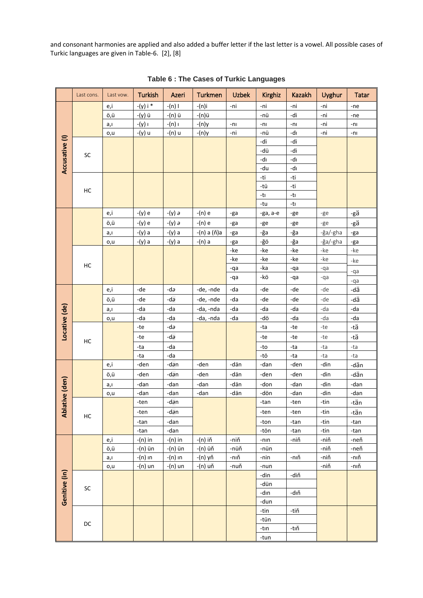and consonant harmonies are applied and also added a buffer letter if the last letter is a vowel. All possible cases of Turkic languages are given in Table-6. [2], [8]

|                | Last cons. | Last vow. | <b>Turkish</b> | Azeri           | <b>Turkmen</b> | <b>Uzbek</b> | <b>Kirghiz</b> | <b>Kazakh</b> | Uyghur   | <b>Tatar</b> |
|----------------|------------|-----------|----------------|-----------------|----------------|--------------|----------------|---------------|----------|--------------|
|                |            | e,i       | $-(y) i *$     | $-(n)$ I        | -(n)i          | -ni          | -ni            | -ni           | -ni      | -ne          |
|                |            | ö,ü       | -(y) ü         | -(n) ü          | -(n)ü          |              | -nü            | -di           | -ni      | -ne          |
|                |            | a,ı       | $-(y)$ i       | $-(n)$ i        | $-(n)y$        | $-n1$        | $-nl$          | $-n1$         | -ni      | $-nl$        |
|                |            | o,u       | -(y) u         | -(n) u          | $-(n)y$        | -ni          | -nü            | -dı           | -ni      | $-n1$        |
| Accusative (I) |            |           |                |                 |                |              | -di            | -di           |          |              |
|                | SC         |           |                |                 |                |              | -dü            | -di           |          |              |
|                |            |           |                |                 |                |              | -dı            | -dı           |          |              |
|                |            |           |                |                 |                |              | -du            | -dı           |          |              |
|                |            |           |                |                 |                |              | -ti            | -ti           |          |              |
|                | HC         |           |                |                 |                |              | -tü            | -ti           |          |              |
|                |            |           |                |                 |                |              | -tı            | -tı           |          |              |
|                |            |           |                |                 |                |              | -tu            | -tı           |          |              |
|                |            | e,i       | -(y) e         | -(y) $\partial$ | $-(n)$ e       | -ga          | -ga, a-e       | -ge           | -ge      | -gä          |
|                |            | ö,ü       | -(y) e         | -(y) $\partial$ | $-(n)$ e       | -ga          | -ge            | -ge           | -ge      | -gä          |
|                |            | a,ı       | $-(y)$ a       | -(y) a          | -(n) a (ň)a    | -ga          | -ğa            | -ğa           | -ğa/-gha | -ga          |
|                |            | o,u       | $-(y)$ a       | $-(y)$ a        | -(n) a         | -ga          | -ğö            | -ğa           | -ğa/-gha | -ga          |
|                |            |           |                |                 |                | -ke          | -ke            | -ke           | -ke      | -ke          |
|                |            |           |                |                 |                | -ke          | -ke            | -ke           | -ke      | -ke          |
|                | HC         |           |                |                 |                | -qa          | -ka            | -qa           | -qa      | -qa          |
|                |            |           |                |                 |                | -qa          | -kö            | -qa           | -qa      | -qa          |
|                |            | e,i       | -de            | $-da$           | -de, -nde      | -da          | -de            | -de           | -de      | -dä          |
|                |            | ö,ü       | -de            | $-da$           | -de, -nde      | -da          | -de            | -de           | -de      | -dä          |
|                |            | a,ı       | -da            | -da             | -da, -nda      | -da          | -da            | -da           | -da      | -da          |
|                |            | o,u       | -da            | -da             | -da, -nda      | -da          | -dö            | -da           | -da      | -da          |
|                |            |           | -te            | -də             |                |              | -ta            | -te           | -te      | -tä          |
| Locative (de)  |            |           | -te            | -də             |                |              | -te            | -te           | -te      | -tä          |
|                | HC         |           | -ta            | -da             |                |              | -to            | -ta           | -ta      | -ta          |
|                |            |           | -ta            | -da             |                |              | -tö            | -ta           | -ta      | -ta          |
|                |            | e,i       | -den           | -dan            | -den           | -dän         | -dan           | -den          | -din     | -dän         |
|                |            | ö,ü       | -den           | -dən            | -den           | -dän         | -den           | -den          | -din     | -dän         |
| ative (den)    |            | a,ı       | -dan           | -dan            | -dan           | -dän         | -don           | -dan          | -din     | -dan         |
|                |            | o,u       | -dan           | -dan            | -dan           | -dän         | -dön           | -dan          | -din     | -dan         |
|                |            |           | -ten           | -dən            |                |              | -tan           | -ten          | -tin     | -tän         |
| <b>Abl</b>     |            |           | -ten           | -dan            |                |              | -ten           | -ten          | -tin     | -tän         |
|                | HC         |           | -tan           | -dan            |                |              | -ton           | -tan          | -tin     | -tan         |
|                |            |           | -tan           | -dan            |                |              | -tön           | -tan          | -tin     | -tan         |
|                |            | e,i       | $-(n)$ in      | $-(n)$ in       | -(n) iň        | -niň         | $-nin$         | -niň          | -niň     | -neň         |
|                |            | ö,ü       | -(n) ün        | -(n) ün         | -(n) üň        | -nüň         | -nün           |               | -niň     | -neň         |
|                |            | a,ı       | -(n) in        | -(n) in         | -(n) yň        | -nıň         | -nin           | -nıň          | -niň     | -nıň         |
|                |            | o,u       | $-(n)$ un      | -(n) un         | -(n) uň        | -nuň         | -nun           |               | -niň     | -nıň         |
| Genitive (in)  |            |           |                |                 |                |              | -din           | -diň          |          |              |
|                | SC         |           |                |                 |                |              | -dün           |               |          |              |
|                |            |           |                |                 |                |              | -dın           | -dıň          |          |              |
|                |            |           |                |                 |                |              | -dun           |               |          |              |
|                |            |           |                |                 |                |              | -tin           | -tiň          |          |              |
|                | DC         |           |                |                 |                |              | -tün           |               |          |              |
|                |            |           |                |                 |                |              | -tin           | -tıň          |          |              |
|                |            |           |                |                 |                |              | -tun           |               |          |              |

**Table 6 : The Cases of Turkic Languages**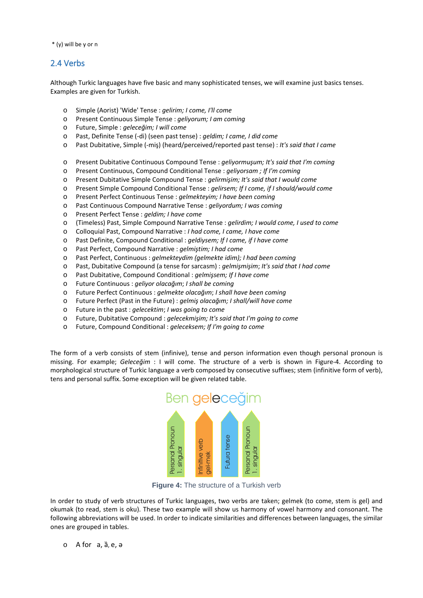\* (y) will be y or n

#### 2.4 Verbs

Although Turkic languages have five basic and many sophisticated tenses, we will examine just basics tenses. Examples are given for Turkish.

- o [Simple \(Aorist\) 'Wide' Tense](http://www.learningpracticalturkish.com/turkish-verb--simple-aorist-present.html) : *gelirim; I come, I'll come*
- o [Present Continuous Simple Tense](http://www.learningpracticalturkish.com/turkish-verb--present-cont-simple.html) : *geliyorum; I am coming*
- o [Future, Simple](http://www.learningpracticalturkish.com/turkish-verb--simple-future.html) : *geleceğim; I will come*
- o [Past, Definite Tense](http://www.learningpracticalturkish.com/turkish-verb--simple-past-definite.html) (-di) (seen past tense) : *geldim; I came, I did come*
- o Past Dubitative, Simple (-miş) (heard/perceived/reported past tense) : *It's said that I came*
- o [Present Dubitative Continuous Compound Tense](http://www.learningpracticalturkish.com/turkish-verb--present-dub-contin-comp.html) : *geliyormuşum; It's said that I'm coming*
- o [Present Continuous, Compound Conditional Tense](http://www.learningpracticalturkish.com/turkish-verb--pres-cont-cond.html) : *geliyorsam ; If I'm coming*
- o [Present Dubitative Simple Compound Tense](http://www.learningpracticalturkish.com/turkish-verb--present-dubitative-simple.html) : *gelirmişim; It's said that I would come*
- o [Present Simple Compound Conditional Tense](http://www.learningpracticalturkish.com/turkish-verb--pres-simp-cond.html) : *gelirsem; If I come, if I should/would come*
- o [Present Perfect Continuous Tense](http://www.learningpracticalturkish.com/turkish-verb--present-perf-cont.html) : *gelmekteyim; I have been coming*
- o [Past Continuous Compound Narrative Tense](http://www.learningpracticalturkish.com/turkish-verb--past-cont-comp.html) : *geliyordum; I was coming*
- o Present Perfect Tense : *geldim; I have come*
- o [\(Timeless\) Past, Simple Compound Narrative Tense](http://www.learningpracticalturkish.com/turkish-verb-past-simple-comp-narr.html) : *gelirdim; I would come, I used to come*
- o Colloquial Past, Compound Narrative : *I had come, I came, I have come*
- o [Past Definite, Compound Conditional](http://www.learningpracticalturkish.com/turkish-verb--past-def-comp-cond.html) : *geldiysem; If I came, if I have come*
- o [Past Perfect, Compound Narrative](http://www.learningpracticalturkish.com/turkish-verb--past-perf-comp.html) : *gelmiştim; I had come*
- o [Past Perfect, Continuous](http://www.learningpracticalturkish.com/turkish-verb--past-perf-cont.html) : *gelmekteydim (gelmekte idim); I had been coming*
- o [Past, Dubitative Compound](http://www.learningpracticalturkish.com/turkish-verb-sarcasm.html) (a tense for sarcasm) : *gelmişmişim*; *It's said that I had come*
- o [Past Dubitative, Compound Conditional](http://www.learningpracticalturkish.com/turkish-verb--past-dub-cond.html) : *gelmişsem; If I have come*
- o [Future Continuous](http://www.learningpracticalturkish.com/turkish-verb--future-cont.html) : *geliyor olacağım*; *I shall be coming*
- o [Future Perfect Continuous](http://www.learningpracticalturkish.com/turkish-verb--future-perf-cont.html) : *gelmekte olacağım*; *I shall have been coming*
- o [Future Perfect \(Past in the Future\)](http://www.learningpracticalturkish.com/turkish-verb--future-perfect.html) : *gelmiş olacağım; I shall/will have come*
- o [Future in the past](http://www.learningpracticalturkish.com/turkish-verb--past-future.html) : *gelecektim*; *I was going to come*
- o [Future, Dubitative Compound](http://www.learningpracticalturkish.com/turkish-verb--fut-dub-comp.html) : *gelecekmişim; It's said that I'm going to come*
- o [Future, Compound Conditional](http://www.learningpracticalturkish.com/turkish-verb--future-comp-cond.html) : *geleceksem; If I'm going to come*

The form of a verb consists of stem (infinive), tense and person information even though personal pronoun is missing. For example; *Geleceğim* : I will come. The structure of a verb is shown in Figure-4. According to morphological structure of Turkic language a verb composed by consecutive suffixes; stem (infinitive form of verb), tens and personal suffix. Some exception will be given related table.



**Figure 4:** The structure of a Turkish verb

In order to study of verb structures of Turkic languages, two verbs are taken; gelmek (to come, stem is gel) and okumak (to read, stem is oku). These two example will show us harmony of vowel harmony and consonant. The following abbreviations will be used. In order to indicate similarities and differences between languages, the similar ones are grouped in tables.

o A for a, ȁ, e, ə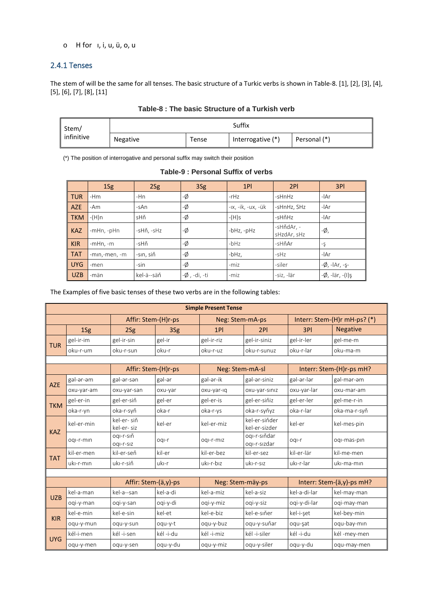#### o H for 1, i, u, ü, o, u

#### 2.4.1 Tenses

The stem of will be the same for all tenses. The basic structure of a Turkic verbs is shown in Table-8. [1], [2], [3], [4],  $[5]$ ,  $[6]$ ,  $[7]$ ,  $[8]$ ,  $[11]$ 

| Stem/      | Suffix   |       |                   |              |  |  |  |  |  |
|------------|----------|-------|-------------------|--------------|--|--|--|--|--|
| infinitive | Negative | Tense | Interrogative (*) | Personal (*) |  |  |  |  |  |

(\*) The position of interrogative and personal suffix may switch their position

|  | Table-9: Personal Suffix of verbs |  |  |
|--|-----------------------------------|--|--|
|  |                                   |  |  |

|            | 1Sg           | 2Sg        | 3Sg          | 1PI                | 2PI                       | 3PI                   |
|------------|---------------|------------|--------------|--------------------|---------------------------|-----------------------|
| <b>TUR</b> | $-Hm$         | $-Hn$      | -Ø           | $-rHz$             | -sHnHz                    | -lAr                  |
| AZE        | $-Am$         | -sAn       | -Ø           | -ıx, -ik, -ux, -ük | -sHnHz, SHz               | $-IAr$                |
| <b>TKM</b> | $-(H)n$       | sHň        | -Ø           | $-(H)$ s           | -sHňHz                    | $-IAr$                |
| <b>KAZ</b> | -mHn, -pHn    | -sHň, -sHz | -Ø           | $-bHz$ , $-pHz$    | -sHňdAr, -<br>sHzdAr, sHz | -Ø,                   |
| <b>KIR</b> | $-mHn, -m$    | -sHň       | -Ø           | $-bHz$             | -sHňAr                    | $-\xi$                |
| <b>TAT</b> | -min,-men, -m | -sın, siň  | -Ø           | $-bHz$ ,           | $-sHz$                    | $-IAr$                |
| UYG        | -men          | -sin       | -Ø           | -miz               | -siler                    | $-\phi$ , -lAr, -ş-   |
| <b>UZB</b> | -män          | kel-ä--säň | -Ø, -di, -ti | -miz               | -siz, -lär                | $-\phi$ , -lär, -(I)ş |

The Examples of five basic tenses of these two verbs are in the following tables:

|            | <b>Simple Present Tense</b> |                           |           |                  |                                |              |                              |  |  |  |  |
|------------|-----------------------------|---------------------------|-----------|------------------|--------------------------------|--------------|------------------------------|--|--|--|--|
|            |                             | Affir: Stem-(H)r-ps       |           | Neg: Stem-mA-ps  |                                |              | Interr: Stem-(H)r mH-ps? (*) |  |  |  |  |
|            | 1Sg                         | 2Sg                       | 3Sg       | 1PI              | 2PI                            | 3PI          | <b>Negative</b>              |  |  |  |  |
| <b>TUR</b> | gel-ir-im                   | gel-ir-sin                | gel-ir    | gel-ir-riz       | gel-ir-siniz                   | gel-ir-ler   | gel-me-m                     |  |  |  |  |
|            | oku-r-um                    | oku-r-sun                 | oku-r     | oku-r-uz         | oku-r-sunuz                    | oku-r-lar    | oku-ma-m                     |  |  |  |  |
|            |                             |                           |           |                  |                                |              |                              |  |  |  |  |
|            |                             | Affir: Stem-(H)r-ps       |           | Neg: Stem-mA-sl  |                                |              | Interr: Stem-(H)r-ps mH?     |  |  |  |  |
| <b>AZE</b> | gəl-ər-əm                   | gəl-ər-sən                | gəl-ər    | gəl-ər-ik        | gəl-ər-siniz                   | gəl-ər-lər   | gəl-mər-əm                   |  |  |  |  |
|            | oxu-yar-am                  | oxu-yar-san               | oxu-yar   | oxu-yar-ıq       | oxu-yar-siniz                  | oxu-yar-lar  | oxu-mar-am                   |  |  |  |  |
| <b>TKM</b> | gel-er-in                   | gel-er-siň                | gel-er    | gel-er-is        | gel-er-siňiz                   | gel-er-ler   | gel-me-r-in                  |  |  |  |  |
|            | oka-r-yn                    | oka-r-syň                 | oka-r     | oka-r-ys         | oka-r-syňyz                    | oka-r-lar    | oka-ma-r-syň                 |  |  |  |  |
| <b>KAZ</b> | kel-er-min                  | kel-er-siň<br>kel-er- siz | kel-er    | kel-er-miz       | kel-er-siňder<br>kel-er-sizder | kel-er       | kel-mes-pin                  |  |  |  |  |
|            | oqi-r-min                   | oqı-r-sıň<br>oqi-r-siz    | oqi-r     | oqi-r-miz        | ogi-r-siňdar<br>oqı-r-sızdar   | ogi-r        | oqi-mas-pin                  |  |  |  |  |
| <b>TAT</b> | kil-er-men                  | kil-er-seň                | kil-er    | kil-er-bez       | kil-er-sez                     | kil-er-lär   | kil-me-men                   |  |  |  |  |
|            | uki-r-min                   | uki-r-siň                 | uki-r     | uki-r-biz        | uki-r-siz                      | ukı-r-lar    | uki-ma-min                   |  |  |  |  |
|            |                             |                           |           |                  |                                |              |                              |  |  |  |  |
|            |                             | Affir: Stem-(ä,y)-ps      |           | Neg: Stem-mäy-ps |                                |              | Interr: Stem-(ä,y)-ps mH?    |  |  |  |  |
| <b>UZB</b> | kel-a-man                   | kel-a--san                | kel-a-di  | kel-a-miz        | kel-a-siz                      | kel-a-di-lar | kel-may-man                  |  |  |  |  |
|            | ogi-y-man                   | oqi-y-san                 | oqi-y-di  | oqi-y-miz        | ogi-y-siz                      | oqi-y-di-lar | ogi-may-man                  |  |  |  |  |
| <b>KIR</b> | kel-e-min                   | kel-e-sin                 | kel-et    | kel-e-biz        | kel-e-siňer                    | kel-i-şet    | kel-bey-min                  |  |  |  |  |
|            | oqu-y-mun                   | oqu-y-sun                 | oqu-y-t   | oqu-y-buz        | oqu-y-suňar                    | oqu-şat      | oqu-bay-min                  |  |  |  |  |
| <b>UYG</b> | kél-i-men                   | kél -i-sen                | kél -i-du | kél -i-miz       | kél -i-siler                   | kél -i-du    | kél-mey-men                  |  |  |  |  |
|            | oqu-y-men                   | oqu-y-sen                 | oqu-y-du  | oqu-y-miz        | oqu-y-siler                    | oqu-y-du     | oqu-may-men                  |  |  |  |  |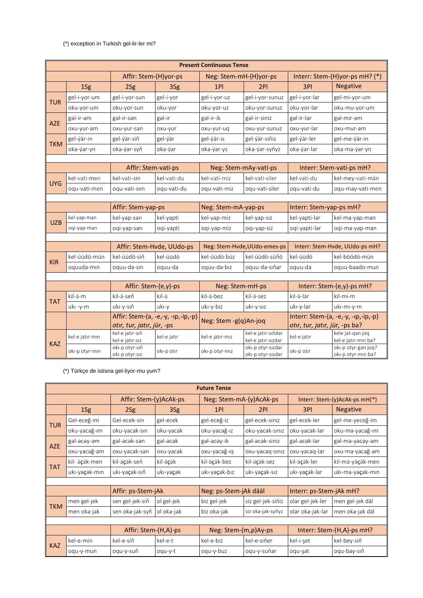#### (\*) exception in Turkish gel-lir-ler mi?

|            | <b>Present Continuous Tense</b> |                                    |                                    |                        |                                          |                                                                       |                                           |  |  |  |  |
|------------|---------------------------------|------------------------------------|------------------------------------|------------------------|------------------------------------------|-----------------------------------------------------------------------|-------------------------------------------|--|--|--|--|
|            |                                 | Affir: Stem-(H)yor-ps              |                                    | Neg: Stem-mH-(H)yor-ps |                                          |                                                                       | Interr: Stem-(H)yor-ps mH? (*)            |  |  |  |  |
|            | 1Sg                             | 2Sg                                | 3Sg                                | 1PI                    | 2PI                                      | 3PI                                                                   | <b>Negative</b>                           |  |  |  |  |
| <b>TUR</b> | gel-i-yor-um                    | gel-i-yor-sun                      | gel-i-yor                          | gel-i-yor-uz           | gel-i-yor-sunuz                          | gel-i-yor-lar                                                         | gel-mi-yor-um                             |  |  |  |  |
|            | oku-yor-um                      | oku-yor-sun                        | oku-yor                            | oku-yor-uz             | oku-yor-sunuz                            | oku-yor-lar                                                           | oku-mu-yor-um                             |  |  |  |  |
| <b>AZE</b> | gal-ir-am                       | gal-ir-san                         | gal-ir                             | gəl-ir-ik              | gəl-ir-siniz                             | gal-ir-lar                                                            | gəl-mir-əm                                |  |  |  |  |
|            | oxu-yur-am                      | oxu-yur-san                        | oxu-yur                            | oxu-yur-uq             | oxu-yur-sunuz                            | oxu-yur-lar                                                           | oxu-mur-am                                |  |  |  |  |
| <b>TKM</b> | gel-ýär-in                      | gel-vär-siň                        | gel-ýär                            | gel-ýär-is             | gel-ýär-siňiz                            | gel-ýär-ler                                                           | gel-me-ýär-in                             |  |  |  |  |
|            | oka-ýar-yn                      | oka-var-syň                        | oka-ýar                            | oka-ýar-ys             | oka-ýar-syňyz                            | oka-ýar-lar                                                           | oka-ma-ýar-yn                             |  |  |  |  |
|            |                                 |                                    |                                    |                        |                                          |                                                                       |                                           |  |  |  |  |
|            |                                 | Affir: Stem-vati-ps                |                                    |                        | Neg: Stem-mAy-vati-ps                    |                                                                       | Interr: Stem-vati-ps mH?                  |  |  |  |  |
| UYG        | kel-vati-men                    | kel-vati-sin                       | kel-vati-du                        | kel-vati-miz           | kel-vati-siler                           | kel-vati-du                                                           | kel-mey-vati-män                          |  |  |  |  |
|            | oqu-vati-men                    | oqu-vati-sen                       | oqu-vati-du                        | oqu-vati-miz           | oqu-vati-siler                           | oqu-vati-du                                                           | oqu-may-vati-men                          |  |  |  |  |
|            |                                 |                                    |                                    |                        |                                          |                                                                       |                                           |  |  |  |  |
|            |                                 | Affir: Stem-yap-ps                 |                                    | Neg: Stem-mA-yap-ps    |                                          | Interr: Stem-yap-ps mH?                                               |                                           |  |  |  |  |
| <b>UZB</b> | kel-yap-man                     | kel-yap-san                        | kel-yapti                          | kel-yap-miz            | kel-yap-siz                              | kel-vapti-lar                                                         | kel-ma-yap-man                            |  |  |  |  |
|            | oqi-yap-man                     | ogi-yap-san                        | oqi-yapti                          | oqi-yap-miz            | oqi-yap-siz                              | oqi-yapti-lar                                                         | oqi-ma-yap-man                            |  |  |  |  |
|            |                                 |                                    |                                    |                        |                                          |                                                                       |                                           |  |  |  |  |
|            |                                 |                                    | Affir: Stem-Hvde, UUdo-ps          |                        | Neg: Stem-Hvde, UUdo-emes-ps             | Interr: Stem-Hvde, UUdo-ps mH?                                        |                                           |  |  |  |  |
| <b>KIR</b> | kel-üüdö-mün                    | kel-üüdö-siň                       | kel-üüdö                           | kel-üüdö-büz           | kel-üüdö-süňö                            | kel-üüdö                                                              | kel-böödö-mün                             |  |  |  |  |
|            | oquuda-min                      | oquu-da-sin                        | oquu-da                            | oquu-da-bız            | oquu-da-sıňar                            | oquu-da                                                               | oquu-baado-mun                            |  |  |  |  |
|            |                                 |                                    |                                    |                        |                                          |                                                                       |                                           |  |  |  |  |
|            |                                 | Affir: Stem-(e,y)-ps               |                                    | Neg: Stem-mH-ps        |                                          |                                                                       | Interr: Stem-(e,y)-ps mH?                 |  |  |  |  |
| <b>TAT</b> | kil-ä-m                         | kil-ä-seň                          | kil-ä                              | kil-ä-bez              | kil-ä-sez                                | kil-ä-lär                                                             | kil-mi-m                                  |  |  |  |  |
|            | uki-y-m                         | uki-y-siň                          | uki-y                              | uki-y-biz              | uki-y-siz                                | uki-y-lar                                                             | uki-mi-y-m                                |  |  |  |  |
|            |                                 | otır, tur, jatır, jür, -ps         | Affir: Stem-(a, -e,-y, -ip,-ip,-p) | Neg: Stem -g(q)An-joq  |                                          | Interr: Stem-(a, -e,-y, -ip,-ip,-p)<br>otır, tur, jatır, jür, -ps ba? |                                           |  |  |  |  |
| <b>KAZ</b> | kel-e jatır-mın                 | kel-e jatır-sıň<br>kel-e jatır-sız | kel-e jatır                        | kel-e jatır-mız        | kel-e jatır-sıňdar<br>kel-e jatır-sızdar | kel-e jatır                                                           | kele jat-gan jog<br>kel-e jatır-mın ba?   |  |  |  |  |
|            | oki-p otyr-min                  | oki-p otyr-siň<br>oki-p otyr-siz   | oki-p otir                         | oki-p otyr-miz         | oki-p otyr-sizdar<br>oki-p otyr-sizdar   | oki-p otir                                                            | oki-p otyr-gan joq?<br>oki-p otyr-min ba? |  |  |  |  |

(\*) Türkçe de istisna gel-liyor-mu yum?

|                      | <b>Future Tense</b> |                        |            |                           |                         |                         |                               |  |  |  |
|----------------------|---------------------|------------------------|------------|---------------------------|-------------------------|-------------------------|-------------------------------|--|--|--|
|                      |                     | Affir: Stem-(y)AcAk-ps |            |                           | Neg: Stem-mA-(y)AcAk-ps |                         | Interr: Stem-(y)AcAk-ps mH(*) |  |  |  |
|                      | 1Sg                 | 2Sg                    | 3Sg        | 1PI                       | 2PI                     | 3PI                     | <b>Negative</b>               |  |  |  |
| <b>TUR</b>           | Gel-eceğ-im         | Gel-ecek-sin           | gel-ecek   | gel-eceğ-iz               | gel-ecek-siniz          | gel-ecek-ler            | gel-me-yeceğ-im               |  |  |  |
|                      | oku-yacağ-ım        | oku-yacak-sın          | oku-yacak  | oku-yacağ-ız              | oku-yacak-sınız         | oku-yacak-lar           | oku-ma-yacağ-ım               |  |  |  |
| <b>AZE</b>           | gəl-əcəy-əm         | gəl-əcək-sən           | gəl-əcək   | gəl-əcəy-ik               | gəl-əcək-siniz          | gəl-əcək-lər            | gəl-mə-yəcəy-əm               |  |  |  |
|                      | oxu-yacağ-am        | oxu-yacak-san          | oxu-yacak  | oxu-yacağ-ıq              | oxu-yacaq-sınız         | oxu-yacaq-lar           | oxu-ma-yacağ-am               |  |  |  |
|                      | kil- äçäk-men       | kil-äçäk-seň           | kil-äçäk   | kil-äçäk-bez              | kil-äçäk-sez            | kil-äçäk-ler            | kil-mä-yäçäk-men              |  |  |  |
| <b>TAT</b>           | ukı-yaçak-mın       | uki-yaçak-siň          | uki-yaçak  | uki-yaçak-biz             | uki-yaçak-sız           | ukı-yaçak-lar           | ukı-ma-yaçak-mın              |  |  |  |
|                      |                     |                        |            |                           |                         |                         |                               |  |  |  |
|                      |                     | Affir: ps-Stem-jAk     |            | Neg: ps-Stem-jAk dääl     |                         | Interr: ps-Stem-jAk mH? |                               |  |  |  |
| <b>TKM</b>           | men gel-jek         | sen gel-jek-siň        | ol gel-jek | biz gel-jek               | siz gel-jek-siňiz       | olar gel-jek-ler        | men gel-jek däl               |  |  |  |
|                      | men oka-jak         | sen oka-jak-syň        | ol oka-jak | biz oka-jak               | siz oka-jak-syňyz       | olar oka-jak-lar        | men oka-jak däl               |  |  |  |
|                      |                     |                        |            |                           |                         |                         |                               |  |  |  |
| Affir: Stem-(H,A)-ps |                     | Neg: Stem-(m,p)Ay-ps   |            | Interr: Stem-(H,A)-ps mH? |                         |                         |                               |  |  |  |
|                      | kel-e-min           | kel-e-siň              | kel-e-t    | kel-e-biz                 | kel-e-siňer             | kel-i-şet               | kel-bey-siň                   |  |  |  |
| <b>KAZ</b>           | oqu-y-mun           | oqu-y-suň              | oqu-y-t    | oqu-y-buz                 | oqu-y-suňar             | oqu-şat                 | oqu-bay-siň                   |  |  |  |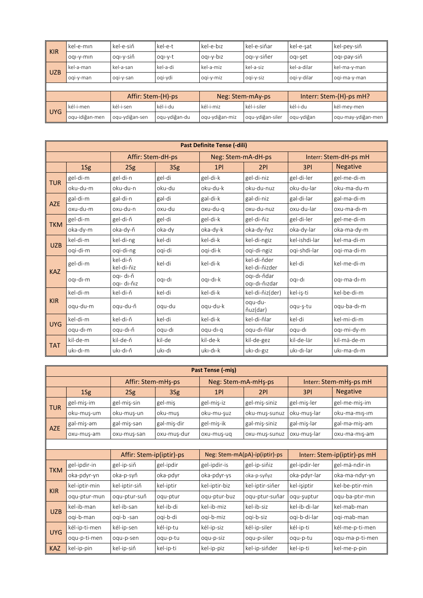| <b>KIR</b> | kel-e-mın          | kel-e-siň      | kel-e-t       | kel-e-bız      | l kel-e-siňar    | kel-e-şat   | kel-pey-siň             |
|------------|--------------------|----------------|---------------|----------------|------------------|-------------|-------------------------|
|            | oqi-y-min          | oqı-y-siň      | oqi-y-t       | oqi-y-biz      | oqı-y-siňer      | oqi-şet     | l oqı-pay-siň           |
| <b>UZB</b> | kel-a-man          | kel-a-san      | kel-a-di      | kel-a-miz      | kel-a-siz        | kel-a-dilar | kel-ma-y-man            |
|            | ogi-y-man          | oqi-y-san      | oqi-ydi       | ogi-y-miz      | ogi-y-siz        | oqi-y-dilar | oqi-ma-y-man            |
|            |                    |                |               |                |                  |             |                         |
|            | Affir: Stem-(H)-ps |                |               |                | Neg: Stem-mAy-ps |             | Interr: Stem-(H)-ps mH? |
|            | kél-i-men          | kél-i-sen      | kél-i-du      | kél-i-miz      | kél-i-siler      | kél-i-du    | kél-mey-men             |
| <b>UYG</b> | oqu-idiğan-men     | oqu-ydiğan-sen | oqu-ydiğan-du | oqu-ydiğan-miz | oqu-ydiğan-siler | oqu-ydiğan  | oqu-may-ydiğan-men      |

|            | <b>Past Definite Tense (-dili)</b> |                          |        |                    |                              |               |                       |  |  |  |  |
|------------|------------------------------------|--------------------------|--------|--------------------|------------------------------|---------------|-----------------------|--|--|--|--|
|            |                                    | Affir: Stem-dH-ps        |        | Neg: Stem-mA-dH-ps |                              |               | Interr: Stem-dH-ps mH |  |  |  |  |
|            | 1Sg                                | 2Sg                      | 3Sg    | 1PI                | 2PI                          | 3PI           | <b>Negative</b>       |  |  |  |  |
| <b>TUR</b> | gel-di-m                           | gel-di-n                 | gel-di | gel-di-k           | gel-di-niz                   | gel-di-ler    | gel-me-di-m           |  |  |  |  |
|            | oku-du-m                           | oku-du-n                 | oku-du | oku-du-k           | oku-du-nuz                   | oku-du-lar    | oku-ma-du-m           |  |  |  |  |
| <b>AZE</b> | gəl-di-m                           | gəl-di-n                 | gəl-di | gəl-di-k           | gəl-di-niz                   | gəl-di-lər    | gəl-mə-di-m           |  |  |  |  |
|            | oxu-du-m                           | oxu-du-n                 | oxu-du | oxu-du-q           | oxu-du-nuz                   | oxu-du-lar    | oxu-ma-dı-m           |  |  |  |  |
| <b>TKM</b> | gel-di-m                           | gel-di-ň                 | gel-di | gel-di-k           | gel-di-ňiz                   | gel-di-ler    | gel-me-di-m           |  |  |  |  |
|            | oka-dy-m                           | oka-dy-ň                 | oka-dy | oka-dy-k           | oka-dy-ňyz                   | oka-dy-lar    | oka-ma-dy-m           |  |  |  |  |
| <b>UZB</b> | kel-di-m                           | kel-di-ng                | kel-di | kel-di-k           | kel-di-ngiz                  | kel-ishdi-lar | kel-ma-di-m           |  |  |  |  |
|            | ogi-di-m                           | ogi-di-ng                | oqi-di | ogi-di-k           | ogi-di-ngiz                  | ogi-shdi-lar  | ogi-ma-di-m           |  |  |  |  |
| <b>KAZ</b> | gel-di-m                           | kel-di-ň<br>kel-di-ňiz   | kel-di | kel-di-k           | kel-di-ňder<br>kel-di-ňizder | kel-di        | kel-me-di-m           |  |  |  |  |
|            | oqi-di-m                           | oqı- dı-ň<br>oqi- di-ňiz | ogi-di | ogi-di-k           | oqı-dı-ňdar<br>oqı-dı-ňızdar | oqi-di        | oqi-ma-di-m           |  |  |  |  |
|            | kel-di-m                           | kel-di-ň                 | kel-di | kel-di-k           | kel-di-ňiz(der)              | kel-iş-ti     | kel-be-di-m           |  |  |  |  |
| <b>KIR</b> | oqu-du-m                           | oau-du-ň                 | oqu-du | oqu-du-k           | oqu-du-<br>ňuz(dar)          | oqu-s-tu      | oqu-ba-dı-m           |  |  |  |  |
| <b>UYG</b> | kel-di-m                           | kel-di-ň                 | kel-di | kel-di-k           | kel-di-ňlar                  | kel-di        | kel-mi-di-m           |  |  |  |  |
|            | oqu-di-m                           | oqu-dı-ň                 | oqu-di | oqu-dı-q           | oqu-dı-ňlar                  | oqu-di        | oqı-mi-dy-m           |  |  |  |  |
| <b>TAT</b> | kil-de-m                           | kil-de-ň                 | kil-de | kil-de-k           | kil-de-gez                   | kil-de-lär    | kil-mä-de-m           |  |  |  |  |
|            | uki-di-m                           | uki-di-ň                 | uki-di | uki-di-k           | uki-di-giz                   | ukı-dı-lar    | uki-ma-di-m           |  |  |  |  |

|                          | Past Tense (-mis) |                    |             |                               |                 |                        |                              |  |  |  |
|--------------------------|-------------------|--------------------|-------------|-------------------------------|-----------------|------------------------|------------------------------|--|--|--|
|                          |                   | Affir: Stem-mHs-ps |             | Neg: Stem-mA-mHs-ps           |                 | Interr: Stem-mHş-ps mH |                              |  |  |  |
|                          | 1Sg               | 2Sg                | 3Sg         | 1PI                           | 2PI             | 3PI                    | <b>Negative</b>              |  |  |  |
|                          | gel-miş-im        | gel-miş-sin        | gel-miş     | gel-miş-iz                    | gel-miş-siniz   | gel-miş-ler            | gel-me-miş-im                |  |  |  |
| <b>TUR</b>               | oku-muş-um        | oku-muş-un         | oku-muş     | oku-mu-şuz                    | oku-muş-sunuz   | oku-muş-lar            | oku-ma-mış-ım                |  |  |  |
|                          | gəl-miş-əm        | gəl-miş-sən        | gəl-miş-dir | gel-miş-ik                    | gəl-miş-siniz   | gəl-miş-lər            | gəl-mə-miş-əm                |  |  |  |
| <b>AZE</b>               | oxu-muş-am        | oxu-mus-san        | oxu-muş-dur | oxu-mus-ug                    | oxu-muş-sunuz   | oxu-muş-lar            | oxu-ma-mis-am                |  |  |  |
|                          |                   |                    |             |                               |                 |                        |                              |  |  |  |
| Affir: Stem-ip(iptir)-ps |                   |                    |             | Neg: Stem-mA(pA)-ip(iptir)-ps |                 |                        | Interr: Stem-ip(iptir)-ps mH |  |  |  |
| <b>TKM</b>               | gel-ipdir-in      | gel-ip-siň         | gel-ipdir   | gel-ipdir-is                  | gel-ip-siňiz    | gel-ipdir-ler          | gel-mä-ndir-in               |  |  |  |
|                          | oka-pdyr-yn       | oka-p-syň          | oka-pdyr    | oka-pdyr-ys                   | oka-p-syňyz     | oka-pdyr-lar           | oka-ma-ndyr-yn               |  |  |  |
| <b>KIR</b>               | kel-iptir-min     | kel-iptir-siň      | kel-iptir   | kel-iptir-biz                 | kel-iptir-siňer | kel-işiptir            | kel-be-ptir-min              |  |  |  |
|                          | oqu-ptur-mun      | oqu-ptur-suň       | oqu-ptur    | oqu-ptur-buz                  | oqu-ptur-suňar  | oqu-şuptur             | oqu-ba-ptır-mın              |  |  |  |
| <b>UZB</b>               | kel-ib-man        | kel-ib-san         | kel-ib-di   | kel-ib-miz                    | kel-ib-siz      | kel-ib-di-lar          | kel-mab-man                  |  |  |  |
|                          | oqi-b-man         | ogi-b-san          | oqi-b-di    | oqi-b-miz                     | ogi-b-siz       | ogi-b-di-lar           | ogi-mab-man                  |  |  |  |
| <b>UYG</b>               | kél-ip-ti-men     | kél-ip-sen         | kél-ip-tu   | kél-ip-siz                    | kél-ip-siler    | kél-ip-ti              | kél-me-p-ti-men              |  |  |  |
|                          | oqu-p-ti-men      | oqu-p-sen          | oqu-p-tu    | oqu-p-siz                     | oqu-p-siler     | oqu-p-tu               | oqu-ma-p-ti-men              |  |  |  |
| <b>KAZ</b>               | kel-ip-pin        | kel-ip-siň         | kel-ip-ti   | kel-ip-piz                    | kel-ip-siňder   | kel-ip-ti              | kel-me-p-pin                 |  |  |  |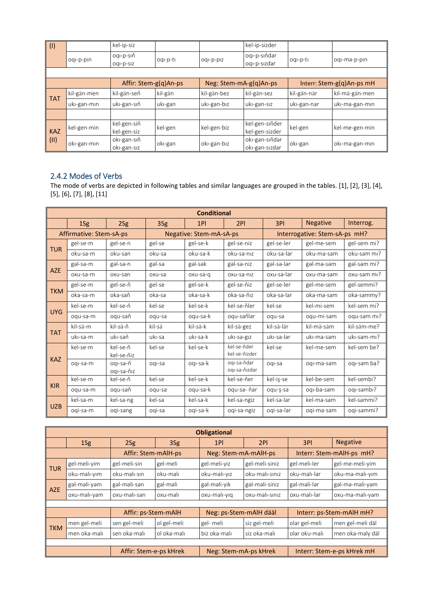| (1)        |             | kel-ip-siz                 |          |                        | kel-ip-sizder                    |             |                           |
|------------|-------------|----------------------------|----------|------------------------|----------------------------------|-------------|---------------------------|
|            | oqi-p-pin   | oqi-p-siň<br>oqi-p-siz     | oqi-p-ti | oqi-p-piz              | oqı-p-sıňdar<br>oqi-p-sizdar     | oqi-p-ti    | oqi-ma-p-pin              |
|            |             |                            |          |                        |                                  |             |                           |
|            |             | Affir: Stem-g(q)An-ps      |          | Neg: Stem-mA-g(q)An-ps |                                  |             | Interr: Stem-g(q)An-ps mH |
| <b>TAT</b> | kil-gän-men | kil-gän-seň                | kil-gän  | kil-gän-bez            | kil-gän-sez                      | kil-gän-när | kil-mä-gän-men            |
|            | uki-gan-min | uki-gan-siň                | uki-gan  | uki-gan-biz            | uki-gan-siz                      | uki-gan-nar | uki-ma-gan-min            |
|            |             |                            |          |                        |                                  |             |                           |
| <b>KAZ</b> | kel-gen-min | kel-gen-siň<br>kel-gen-siz | kel-gen  | kel-gen-biz            | kel-gen-siňder<br>kel-gen-sizder | kel-gen     | kel-me-gen-min            |
| (11)       | oki-gan-min | oki-gan-siň<br>oki-gan-siz | oki-gan  | oki-gan-biz            | oki-gan-siňdar<br>oki-gan-sizdar | oki-gan     | oki-ma-gan-min            |

## 2.4.2 Modes of Verbs

The mode of verbs are depicted in following tables and similar languages are grouped in the tables. [1], [2], [3], [4], [5], [6], [7], [8], [11]

|            | <b>Conditional</b>      |                        |        |                         |                              |            |                               |             |  |  |  |
|------------|-------------------------|------------------------|--------|-------------------------|------------------------------|------------|-------------------------------|-------------|--|--|--|
|            | 1Sg                     | 2Sg                    | 3Sg    | 1PI                     | 2PI                          | 3PI        | <b>Negative</b>               | Interrog.   |  |  |  |
|            | Affirmative: Stem-sA-ps |                        |        | Negative: Stem-mA-sA-ps |                              |            | Interrogative: Stem-sA-ps mH? |             |  |  |  |
|            | gel-se-m                | gel-se-n               | gel-se | gel-se-k                | gel-se-niz                   | gel-se-ler | gel-me-sem                    | gel-sem mi? |  |  |  |
| <b>TUR</b> | oku-sa-m                | oku-san                | oku-sa | oku-sa-k                | oku-sa-nız                   | oku-sa-lar | oku-ma-sam                    | oku-sam mi? |  |  |  |
|            | gəl-sə-m                | gal-sa-n               | gal-sa | gəl-sək                 | gal-sa-niz                   | gəl-sə-lər | gal-ma-sam                    | gəl-səm mi? |  |  |  |
| <b>AZE</b> | oxu-sa-m                | oxu-san                | oxu-sa | oxu-sa-q                | oxu-sa-nız                   | oxu-sa-lar | oxu-ma-sam                    | oxu-sam mi? |  |  |  |
|            | gel-se-m                | gel-se-ň               | gel-se | gel-se-k                | gel-se-ňiz                   | gel-se-ler | gel-me-sem                    | gel-semmi?  |  |  |  |
| <b>TKM</b> | oka-sa-m                | oka-saň                | oka-sa | oka-sa-k                | oka-sa-ňız                   | oka-sa-lar | oka-ma-sam                    | oka-sammy?  |  |  |  |
|            | kel-se-m                | kel-se-ň               | kel-se | kel-se-k                | kel-se-ňler                  | kel-se     | kel-mi-sem                    | kel-sem mi? |  |  |  |
| <b>UYG</b> | oqu-sa-m                | oqu-saň                | oqu-sa | oqu-sa-k                | oqu-saňlar                   | oqu-sa     | oqu-mi-sam                    | oqu-sam mi? |  |  |  |
|            | kil-sä-m                | kil-sä-ň               | kil-sä | kil-sä-k                | kil-sä-gez                   | kil-sä-lär | kil-mä-säm                    | kil-säm-me? |  |  |  |
| <b>TAT</b> | uki-sa-m                | uki-saň                | uki-sa | uki-sa-k                | uki-sa-giz                   | ukı-sa-lar | uki-ma-sam                    | uki-sam-mi? |  |  |  |
|            | kel-se-m                | kel-se-ň<br>kel-se-ňiz | kel-se | kel-se-k                | kel-se-ňder<br>kel-se-ňizder | kel-se     | kel-me-sem                    | kel-sem be? |  |  |  |
| <b>KAZ</b> | oqi-sa-m                | oqi-sa-ň<br>ogi-sa-ňiz | oqi-sa | ogi-sa-k                | oqı-sa-ňdar<br>oqı-sa-ňızdar | ogi-sa     | oqi-ma-sam                    | oqi-sam ba? |  |  |  |
|            | kel-se-m                | kel-se-ň               | kel-se | kel-se-k                | kel-se-ňer                   | kel-iş-se  | kel-be-sem                    | kel-sembi?  |  |  |  |
| <b>KIR</b> | oqu-sa-m                | oqu-saň                | oqu-sa | oqu-sa-k                | oqu-sa- ňar                  | oqu-ş-sa   | ogi-ba-sam                    | ogi-sambi?  |  |  |  |
|            | kel-sa-m                | kel-sa-ng              | kel-sa | kel-sa-k                | kel-sa-ngiz                  | kel-sa-lar | kel-ma-sam                    | kel-sammi?  |  |  |  |
| <b>UZB</b> | ogi-sa-m                | ogi-sang               | ogi-sa | ogi-sa-k                | ogi-sa-ngiz                  | ogi-sa-lar | ogi-ma-sam                    | ogi-sammi?  |  |  |  |

|            | <b>Obligational</b>                                                           |                     |             |                        |                |               |                          |  |  |  |
|------------|-------------------------------------------------------------------------------|---------------------|-------------|------------------------|----------------|---------------|--------------------------|--|--|--|
|            | 1Sg                                                                           | 2Sg                 | 3Sg         | 1PI                    | 2PI            | 3PI           | <b>Negative</b>          |  |  |  |
|            |                                                                               | Affir: Stem-mAlH-ps |             | Neg: Stem-mA-mAlH-ps   |                |               | Interr: Stem-mAlH-ps mH? |  |  |  |
| <b>TUR</b> | gel-meli-yim                                                                  | gel-meli-sin        | gel-meli    | gel-meli-yiz           | gel-meli-siniz | gel-meli-ler  | gel-me-meli-yim          |  |  |  |
|            | oku-malı-yım                                                                  | oku-malı-sın        | oku-malı    | oku-malı-yız           | oku-malı-sınız | oku-malı-lar  | oku-ma-malı-yım          |  |  |  |
| <b>AZE</b> | gəl-məli-yəm                                                                  | gəl-məli-sən        | gəl-məli    | gəl-məli-yik           | gəl-məli-siniz | gəl-məli-lər  | gəl-mə-məli-yəm          |  |  |  |
|            | oxu-malı-yam                                                                  | oxu-malı-san        | oxu-malı    | oxu-malı-yıq           | oxu-malı-sınız | oxu-malı-lar  | oxu-ma-malı-yam          |  |  |  |
|            |                                                                               |                     |             |                        |                |               |                          |  |  |  |
|            |                                                                               | Affir: ps-Stem-mAlH |             | Neg: ps-Stem-mAlH dääl |                |               | Interr: ps-Stem-mAlH mH? |  |  |  |
| <b>TKM</b> | men gel-meli                                                                  | sen gel-meli        | ol gel-meli | gel-meli               | siz gel-meli   | olar gel-meli | men gel-meli däl         |  |  |  |
|            | men oka-malı                                                                  | sen oka-malı        | ol oka-malı | biz oka-malı           | siz oka-malı   | olar oku-malı | men oka-maly däl         |  |  |  |
|            |                                                                               |                     |             |                        |                |               |                          |  |  |  |
|            | Affir: Stem-e-ps kHrek<br>Neg: Stem-mA-ps kHrek<br>Interr: Stem-e-ps kHrek mH |                     |             |                        |                |               |                          |  |  |  |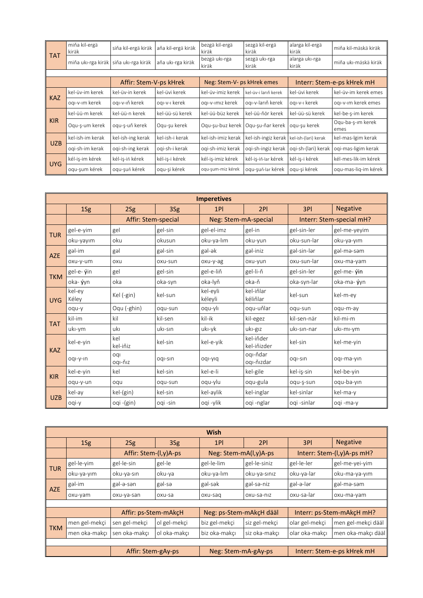| <b>TAT</b>             | miňa kil-ergä<br>kiräk | siňa kil-ergä kiräk | aňa kil-ergä kiräk | bezgä kil-ergä<br>kiräk    | sezgä kil-ergä<br>kiräk | alarga kil-ergä<br>kiräk | miňa kil-mäskä kiräk       |
|------------------------|------------------------|---------------------|--------------------|----------------------------|-------------------------|--------------------------|----------------------------|
|                        | miňa uki-rga kiräk     | siňa uki-rga kiräk  | aňa uki-rga kiräk  | bezgä uki-rga<br>kiräk     | sezgä uki-rga<br>kiräk  | alarga uki-rga<br>kiräk  | miňa uki-mäskä kiräk       |
|                        |                        |                     |                    |                            |                         |                          |                            |
| Affir: Stem-V-ps kHrek |                        |                     |                    | Neg: Stem-V- ps kHrek emes |                         |                          | Interr: Stem-e-ps kHrek mH |
| <b>KAZ</b>             | kel-üv-im kerek        | kel-üv-in kerek     | kel-üvi kerek      | kel-üv-imiz kerek          | kel-üv-i larıň kerek    | kel-üvi kerek            | kel-üv-im kerek emes       |
|                        | ogi-v-im kerek         | ogi-v-iň kerek      | ogi-v-i kerek      | ogi-v-imiz kerek           | ogı-v-larıň kerek       | ogi-v-i kerek            | ogi-v-im kerek emes        |
|                        | kel-üü-m kerek         | kel-üü-n kerek      | kel-üü-sü kerek    | kel-üü-büz kerek           | kel-üü-ňör kerek        | kel-üü-sü kerek          | kel-be-s-im kerek          |
| <b>KIR</b>             | Ogu-s-um kerek         | ogu-s-uň kerek      | Ogu-su kerek       | Ogu-su-buz kerek           | Ogu-su-ňar kerek        | ogu-su kerek             | Oqu-ba-s-im kerek<br>emes  |
| <b>UZB</b>             | kel-ish-im kerak       | kel-ish-ing kerak   | kel-ish-i kerak    | kel-ish-imiz kerak         | kel-ish-ingiz kerak     | kel-ish-(lari) kerak     | kel-mas-lgim kerak         |
|                        | ogi-sh-im kerak        | oqi-sh-ing kerak    | ogi-sh-i kerak     | ogi-sh-imiz kerak          | oqi-sh-ingiz kerak      | oqi-sh-(lari) kerak      | oqi-mas-ligim kerak        |
| UYG                    | kél-iş-im kérek        | kél-is-iň kérek     | kél-is-i kérek     | kél-is-imiz kérek          | kél-is-iň-lar kérek     | kél-is-i kérek           | kél-mes-lik-im kérek       |
|                        | oqu-şum kérek          | ogu-suň kérek       | oqu-şi kérek       | ogu-sum-miz kérek          | oqu-şuň-lar kérek       | oqu-şi kérek             | oqu-mas-liq-im kérek       |

|            |                 |                     |          | <b>Imperetives</b>   |                          |                          |                 |
|------------|-----------------|---------------------|----------|----------------------|--------------------------|--------------------------|-----------------|
|            | 1Sg             | 2Sg                 | 3Sg      | 1PI                  | 2PI                      | 3PI                      | <b>Negative</b> |
|            |                 | Affir: Stem-special |          | Neg: Stem-mA-special |                          | Interr: Stem-special mH? |                 |
|            | gel-e-yim       | gel                 | gel-sin  | gel-el-imz           | gel-in                   | gel-sin-ler              | gel-me-yeyim    |
| <b>TUR</b> | oku-yayım       | oku                 | okusun   | oku-ya-lım           | oku-yun                  | oku-sun-lar              | oku-ya-yim      |
| <b>AZE</b> | gəl-im          | gəl                 | gal-sin  | gəl-ək               | gəl-iniz                 | gəl-sin-lər              | gəl-mə-səm      |
|            | oxu-y-um        | oxu                 | oxu-sun  | oxu-y-ag             | oxu-yun                  | oxu-sun-lar              | oxu-ma-yam      |
| <b>TKM</b> | gel-e- ýin      | gel                 | gel-sin  | gel-e-liň            | gel-li-ň                 | gel-sin-ler              | gel-me- yin     |
|            | oka- ýyn        | oka                 | oka-syn  | oka-lyň              | oka-ň                    | oka-syn-lar              | oka-ma- ýyn     |
| <b>UYG</b> | kel-ey<br>Kéley | Kel (-gin)          | kel-sun  | kel-eyli<br>kéleyli  | kel-iňlar<br>kéliňlar    | kel-sun                  | kel-m-ev        |
|            | oqu-y           | Oqu (-ghin)         | oqu-sun  | oqu-ylı              | oqu-uňlar                | oqu-sun                  | oqu-m-ay        |
| <b>TAT</b> | kil-im          | kil                 | kil-sen  | kil-ik               | kil-egez                 | kil-sen-när              | kil-mi-m        |
|            | uki-ym          | ukı                 | uki-sin  | uki-yk               | uki-giz                  | uki-sin-nar              | uki-mi-ym       |
| <b>KAZ</b> | kel-e-yin       | kel<br>kel-iňiz     | kel-sin  | kel-e-yik            | kel-iňder<br>kel-iňizder | kel-sin                  | kel-me-vin      |
|            | oqi-y-in        | oqi<br>ogi-ňiz      | oqi-sin  | piy-lpo              | ogi-ňdar<br>oqı-ňızdar   | ogi-sin                  | oqi-ma-yin      |
| <b>KIR</b> | kel-e-yin       | kel                 | kel-sin  | kel-e-li             | kel-gile                 | kel-is-sin               | kel-be-vin      |
|            | oqu-y-un        | oqu                 | oqu-sun  | oqu-ylu              | oqu-gula                 | oqu-ş-sun                | oqu-ba-yin      |
|            | kel-ay          | kel-(gin)           | kel-sin  | kel-aylik            | kel-inglar               | kel-sinlar               | kel-ma-y        |
| <b>UZB</b> | oqi-y           | oqi -(gin)          | ogi -sin | oqi -ylik            | oqi -nglar               | ogi -sinlar              | oqi -ma-y       |

|            | <b>Wish</b>                                                             |                       |              |                         |               |                |                            |  |  |  |
|------------|-------------------------------------------------------------------------|-----------------------|--------------|-------------------------|---------------|----------------|----------------------------|--|--|--|
|            | 1Sg                                                                     | 2Sg                   | 3Sg          | 1PI                     | 2PI           | 3PI            | <b>Negative</b>            |  |  |  |
|            |                                                                         | Affir: Stem-(I,y)A-ps |              | Neg: Stem-mA(I,y)A-ps   |               |                | Interr: Stem-(I,y)A-ps mH? |  |  |  |
| <b>TUR</b> | gel-le-yim                                                              | gel-le-sin            | gel-le       | gel-le-lim              | gel-le-siniz  | gel-le-ler     | gel-me-yei-yim             |  |  |  |
|            | oku-ya-yim                                                              | oku-ya-sın            | oku-ya       | oku-ya-lım              | oku-ya-sınız  | oku-ya-lar     | oku-ma-ya-yim              |  |  |  |
| <b>AZE</b> | gəl-im                                                                  | gəl-ə-sən             | gal-sa       | gəl-sək                 | gəl-sə-niz    | gəl-ə-lər      | gəl-mə-səm                 |  |  |  |
|            | oxu-yam                                                                 | oxu-ya-san            | oxu-sa       | oxu-sag                 | oxu-sa-niz    | oxu-sa-lar     | oxu-ma-yam                 |  |  |  |
|            |                                                                         |                       |              |                         |               |                |                            |  |  |  |
|            |                                                                         | Affir: ps-Stem-mAkcH  |              | Neg: ps-Stem-mAkcH dääl |               |                | Interr: ps-Stem-mAkcH mH?  |  |  |  |
| <b>TKM</b> | men gel-mekçi                                                           | sen gel-mekçi         | ol gel-mekci | biz gel-mekçi           | siz gel-mekçi | olar gel-mekçi | men gel-mekçi dääl         |  |  |  |
|            | men oka-makcı                                                           | sen oka-makcı         | ol oka-makçı | biz oka-makcı           | siz oka-makçı | olar oka-makcı | men oka-makçı dääl         |  |  |  |
|            |                                                                         |                       |              |                         |               |                |                            |  |  |  |
|            | Affir: Stem-gAy-ps<br>Neg: Stem-mA-gAy-ps<br>Interr: Stem-e-ps kHrek mH |                       |              |                         |               |                |                            |  |  |  |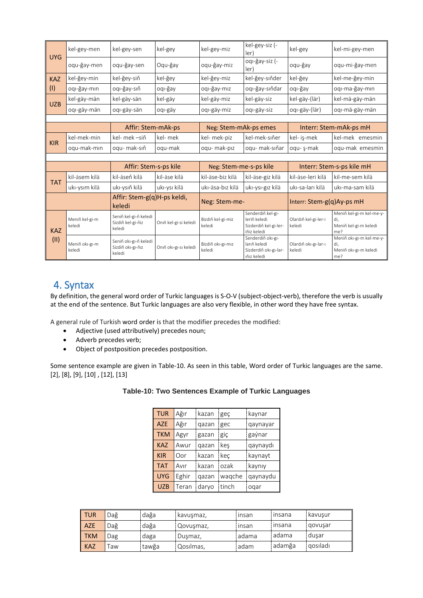|            | kel-gey-men              | kel-gey-sen                                          | kel-gey               | kel-gey-miz                 | kel-gey-siz (-<br>ler)                                                    | kel-gey                        | kel-mi-gey-men                                                  |  |
|------------|--------------------------|------------------------------------------------------|-----------------------|-----------------------------|---------------------------------------------------------------------------|--------------------------------|-----------------------------------------------------------------|--|
| <b>UYG</b> | oqu-ğay-men              | ogu-ğay-sen                                          | Ogu-ğay               | oqu-ğay-miz                 | oqı-ğay-siz (-<br>ler)                                                    | oqu-ğay                        | oqu-mi-ğay-men                                                  |  |
| <b>KAZ</b> | kel-ğey-min              | kel-ğey-siň                                          | kel-ğey               | kel-ğey-miz                 | kel-ğey-sıňder                                                            | kel-ğey                        | kel-me-ğey-min                                                  |  |
| (1)        | oqı-ğay-mın              | ogi-ğay-sıň                                          | oqi-ğay               | ogi-ğay-miz                 | oqı-ğay-sıňdar                                                            | ogi-ğay                        | oqı-ma-ğay-mın                                                  |  |
| <b>UZB</b> | kel-gäy-män              | kel-gäy-sän                                          | kel-gäy               | kel-gäy-miz                 | kel-gäy-siz                                                               | kel-gäy-(lär)                  | kel-mä-gäy-män                                                  |  |
|            | oqı-gäy-män              | oqı-gäy-sän                                          | oqı-gäy               | oqı-gäy-miz                 | ogi-gäy-siz                                                               | oqı-gäy-(lär)                  | oqı-mä-gäy-män                                                  |  |
|            |                          |                                                      |                       |                             |                                                                           |                                |                                                                 |  |
|            |                          | Affir: Stem-mAk-ps                                   |                       | Neg: Stem-mAk-ps emes       |                                                                           |                                | Interr: Stem-mAk-ps mH                                          |  |
| <b>KIR</b> | kel-mek-min              | kel- mek -siň                                        | kel- mek              | kel- mek-piz                | kel-mek-sıňer                                                             | kel- is-mek                    | kel-mek emesmin                                                 |  |
|            | ogu-mak-min              | ogu- mak-sıň                                         | oqu-mak               | oqu-mak-piz                 | oqu- mak-sıňar                                                            | oqu- ş-mak                     | oqu-mak emesmin                                                 |  |
|            |                          |                                                      |                       |                             |                                                                           |                                |                                                                 |  |
|            |                          | Affir: Stem-s-ps kile                                |                       | Neg: Stem-me-s-ps kile      |                                                                           | Interr: Stem-s-ps kile mH      |                                                                 |  |
| <b>TAT</b> | kil-äsem kilä            | kil-äseň kilä                                        | kil-äse kilä          | kil-äse-biz kilä            | kil-äse-giz kilä                                                          | kil-äse-leri kilä              | kil-me-sem kilä                                                 |  |
|            | ukı-ysım kilä            | ukı-ysıň kilä                                        | uki-ysi kilä          | ukı-äsa-bız kilä            | uki-ysi-giz kilä                                                          | ukı-sa-ları kilä               | ukı-ma-sam kilä                                                 |  |
|            |                          | Affir: Stem-g(q)H-ps keldi,<br>keledi                |                       | Neg: Stem-me-               |                                                                           | Interr: Stem-g(q)Ay-ps mH      |                                                                 |  |
| <b>KAZ</b> | Meniň kel-gi-m<br>keledi | Seniň kel-gi-ň keledi<br>Sizdiň kel-gi-ňiz<br>keledi | Onıň kel-gi-si keledi | Bizdiň kel-gi-miz<br>keledi | Senderdiň kel-gi-<br>leriň keledi<br>Sizderdiň kel-gi-ler-<br>iňiz keledi | Olardıň kel-gi-ler-i<br>keledi | Meniň kel-gi-m kel-me-y-<br>di.<br>Meniň kel-gi-m keledi<br>me? |  |
| (II)       | Meniň oki-gi-m<br>keledi | Seniň oki-gi-ň keledi<br>Sizdiň oki-gi-ňiz<br>keledi | Onıň oki-gi-si keledi | Bizdiň oki-gi-miz<br>keledi | Senderdiň oki-gi-<br>larıň keledi<br>Sizderdiň oki-gi-lar-<br>ıňız keledi | Olardıň okı-gı-lar-ı<br>keledi | Meniň oki-gi-m kel-me-y-<br>di,<br>Meniň oki-gi-m keledi<br>me? |  |

# 4. Syntax

By definition, the general word order of Turkic languages is S-O-V (subject-object-verb), therefore the verb is usually at the end of the sentence. But Turkic languages are also very flexible, in other word they have free syntax.

A general rule of Turkish [word order](https://en.wikipedia.org/wiki/Word_order) is that the modifier precedes the modified:

- Adjective (used attributively) precedes noun;
- Adverb precedes verb;
- Object of postposition precedes postposition.

Some sentence example are given in Table-10. As seen in this table, Word order of Turkic languages are the same. [2], [8], [9], [10] , [12], [13]

| Table-10: Two Sentences Example of Turkic Languages |  |  |  |  |
|-----------------------------------------------------|--|--|--|--|
|-----------------------------------------------------|--|--|--|--|

| <b>TUR</b> | Ağır  | kazan | geç    | kaynar   |
|------------|-------|-------|--------|----------|
| <b>AZE</b> | Ağır  | qazan | gec    | qaynayar |
| <b>TKM</b> | Agyr  | gazan | giç    | gaýnar   |
| <b>KAZ</b> | Awur  | qazan | keş    | qaynaydı |
| <b>KIR</b> | Oor   | kazan | kec    | kaynayt  |
| <b>TAT</b> | Avir  | kazan | ozak   | kaynıy   |
| <b>UYG</b> | Eghir | qazan | wagche | qaynaydu |
| <b>UZB</b> | Teran | daryo | tinch  | oqar     |

| <b>TUR</b> | Dağ | dağa  | kavuşmaz,   | insan | insana | kavusur  |
|------------|-----|-------|-------------|-------|--------|----------|
| <b>AZE</b> | Dağ | dağa  | . Qovuşmaz, | insan | insana | govuşar  |
| <b>TKM</b> | Dag | daga  | Duşmaz,     | adama | adama  | dusar    |
| <b>KAZ</b> | āw  | tawğa | Qosilmas,   | adam  | adamğa | gosiladi |